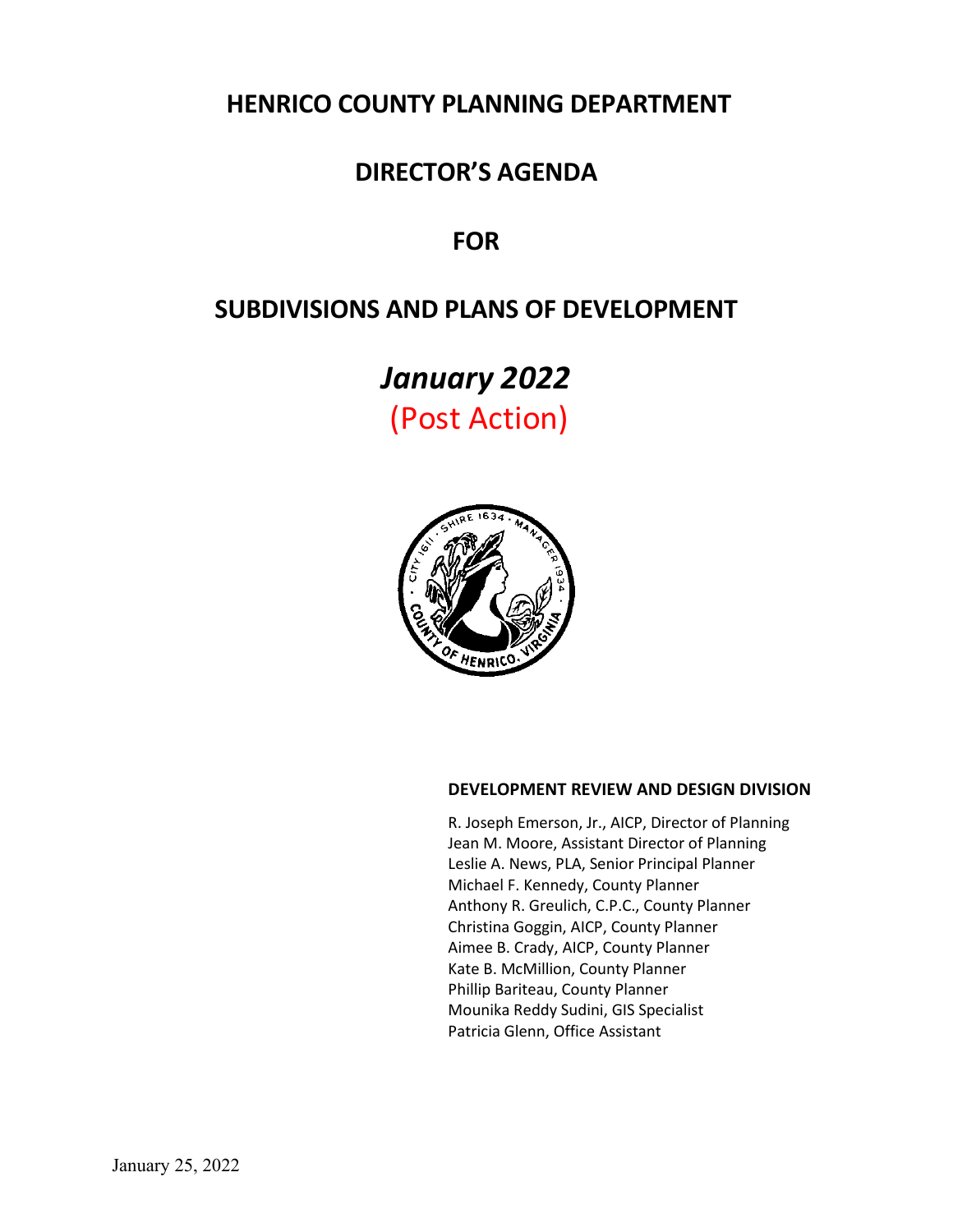# **HENRICO COUNTY PLANNING DEPARTMENT**

# **DIRECTOR'S AGENDA**

# **FOR**

# **SUBDIVISIONS AND PLANS OF DEVELOPMENT**

*January 2022* (Post Action)



# **DEVELOPMENT REVIEW AND DESIGN DIVISION**

R. Joseph Emerson, Jr., AICP, Director of Planning Jean M. Moore, Assistant Director of Planning Leslie A. News, PLA, Senior Principal Planner Michael F. Kennedy, County Planner Anthony R. Greulich, C.P.C., County Planner Christina Goggin, AICP, County Planner Aimee B. Crady, AICP, County Planner Kate B. McMillion, County Planner Phillip Bariteau, County Planner Mounika Reddy Sudini, GIS Specialist Patricia Glenn, Office Assistant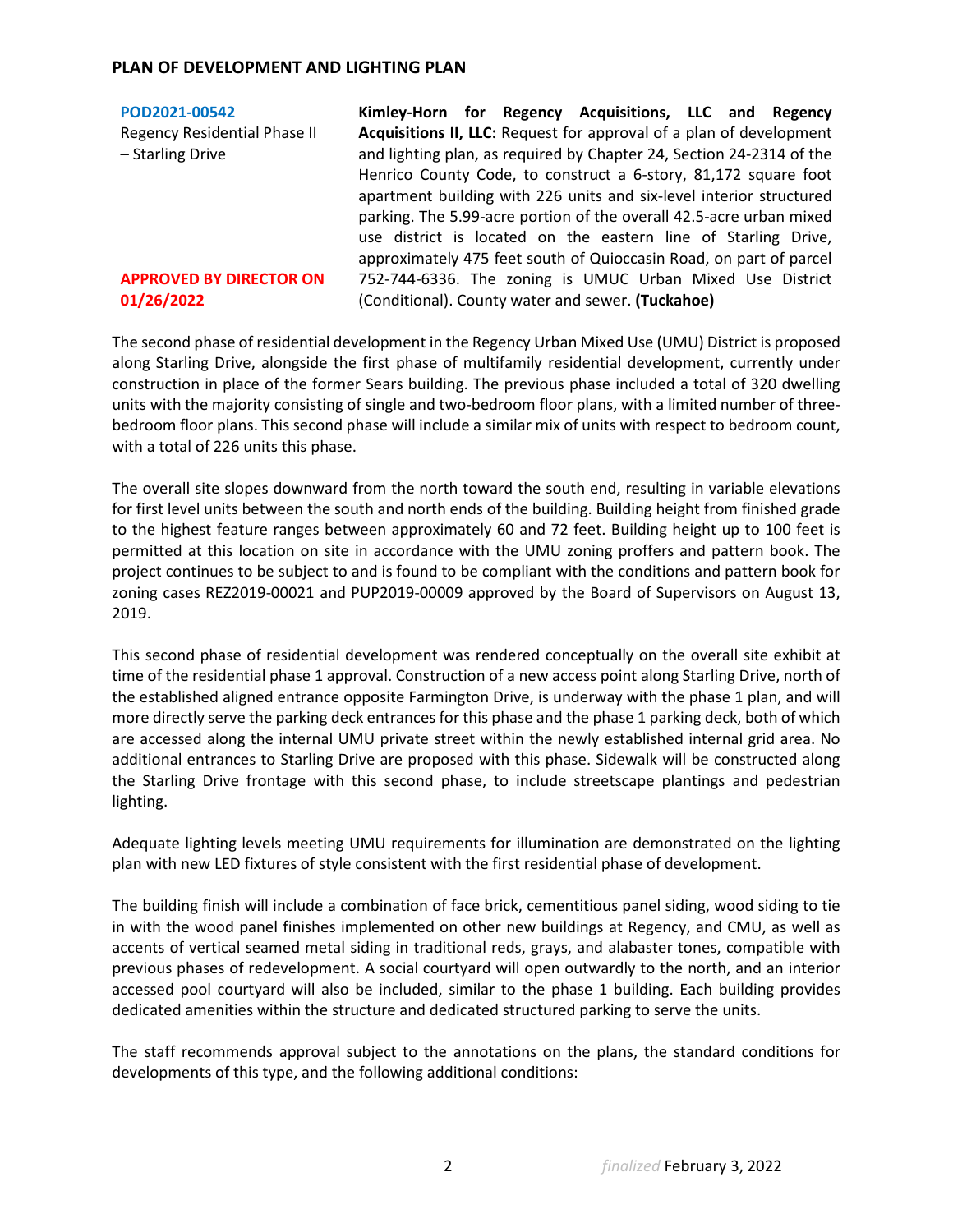# **PLAN OF DEVELOPMENT AND LIGHTING PLAN**

| POD2021-00542                       | Kimley-Horn for Regency Acquisitions, LLC and Regency                |
|-------------------------------------|----------------------------------------------------------------------|
| <b>Regency Residential Phase II</b> | Acquisitions II, LLC: Request for approval of a plan of development  |
| - Starling Drive                    | and lighting plan, as required by Chapter 24, Section 24-2314 of the |
|                                     | Henrico County Code, to construct a 6-story, 81,172 square foot      |
|                                     | apartment building with 226 units and six-level interior structured  |
|                                     | parking. The 5.99-acre portion of the overall 42.5-acre urban mixed  |
|                                     | use district is located on the eastern line of Starling Drive,       |
|                                     | approximately 475 feet south of Quioccasin Road, on part of parcel   |
| <b>APPROVED BY DIRECTOR ON</b>      | 752-744-6336. The zoning is UMUC Urban Mixed Use District            |
| 01/26/2022                          | (Conditional). County water and sewer. (Tuckahoe)                    |
|                                     |                                                                      |

The second phase of residential development in the Regency Urban Mixed Use (UMU) District is proposed along Starling Drive, alongside the first phase of multifamily residential development, currently under construction in place of the former Sears building. The previous phase included a total of 320 dwelling units with the majority consisting of single and two-bedroom floor plans, with a limited number of threebedroom floor plans. This second phase will include a similar mix of units with respect to bedroom count, with a total of 226 units this phase.

The overall site slopes downward from the north toward the south end, resulting in variable elevations for first level units between the south and north ends of the building. Building height from finished grade to the highest feature ranges between approximately 60 and 72 feet. Building height up to 100 feet is permitted at this location on site in accordance with the UMU zoning proffers and pattern book. The project continues to be subject to and is found to be compliant with the conditions and pattern book for zoning cases REZ2019-00021 and PUP2019-00009 approved by the Board of Supervisors on August 13, 2019.

This second phase of residential development was rendered conceptually on the overall site exhibit at time of the residential phase 1 approval. Construction of a new access point along Starling Drive, north of the established aligned entrance opposite Farmington Drive, is underway with the phase 1 plan, and will more directly serve the parking deck entrances for this phase and the phase 1 parking deck, both of which are accessed along the internal UMU private street within the newly established internal grid area. No additional entrances to Starling Drive are proposed with this phase. Sidewalk will be constructed along the Starling Drive frontage with this second phase, to include streetscape plantings and pedestrian lighting.

Adequate lighting levels meeting UMU requirements for illumination are demonstrated on the lighting plan with new LED fixtures of style consistent with the first residential phase of development.

The building finish will include a combination of face brick, cementitious panel siding, wood siding to tie in with the wood panel finishes implemented on other new buildings at Regency, and CMU, as well as accents of vertical seamed metal siding in traditional reds, grays, and alabaster tones, compatible with previous phases of redevelopment. A social courtyard will open outwardly to the north, and an interior accessed pool courtyard will also be included, similar to the phase 1 building. Each building provides dedicated amenities within the structure and dedicated structured parking to serve the units.

The staff recommends approval subject to the annotations on the plans, the standard conditions for developments of this type, and the following additional conditions: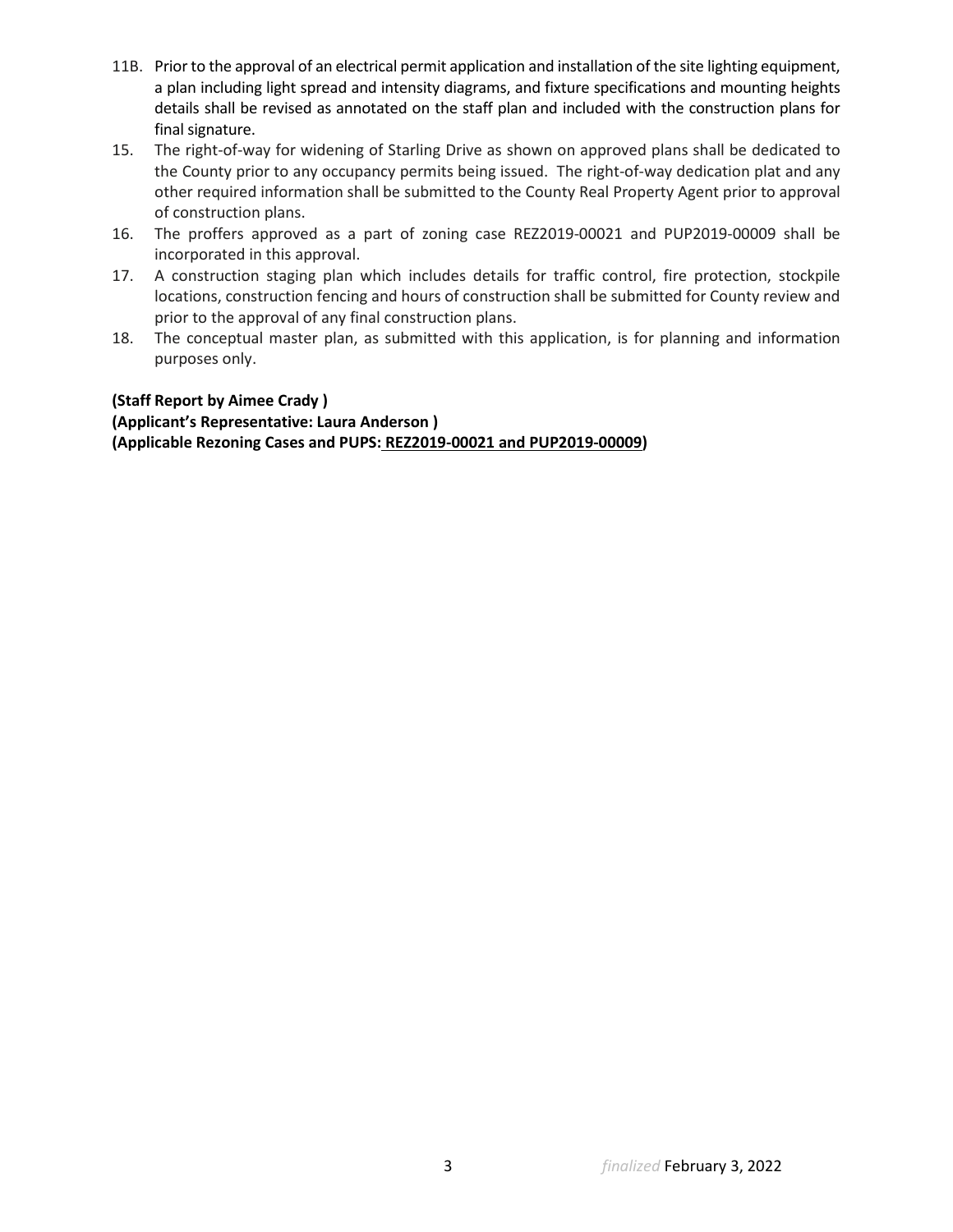- 11B. Prior to the approval of an electrical permit application and installation of the site lighting equipment, a plan including light spread and intensity diagrams, and fixture specifications and mounting heights details shall be revised as annotated on the staff plan and included with the construction plans for final signature.
- 15. The right-of-way for widening of Starling Drive as shown on approved plans shall be dedicated to the County prior to any occupancy permits being issued. The right-of-way dedication plat and any other required information shall be submitted to the County Real Property Agent prior to approval of construction plans.
- 16. The proffers approved as a part of zoning case REZ2019-00021 and PUP2019-00009 shall be incorporated in this approval.
- 17. A construction staging plan which includes details for traffic control, fire protection, stockpile locations, construction fencing and hours of construction shall be submitted for County review and prior to the approval of any final construction plans.
- 18. The conceptual master plan, as submitted with this application, is for planning and information purposes only.

# **(Staff Report by Aimee Crady )**

**(Applicant's Representative: Laura Anderson ) (Applicable Rezoning Cases and PUPS: REZ2019-00021 and PUP2019-00009)**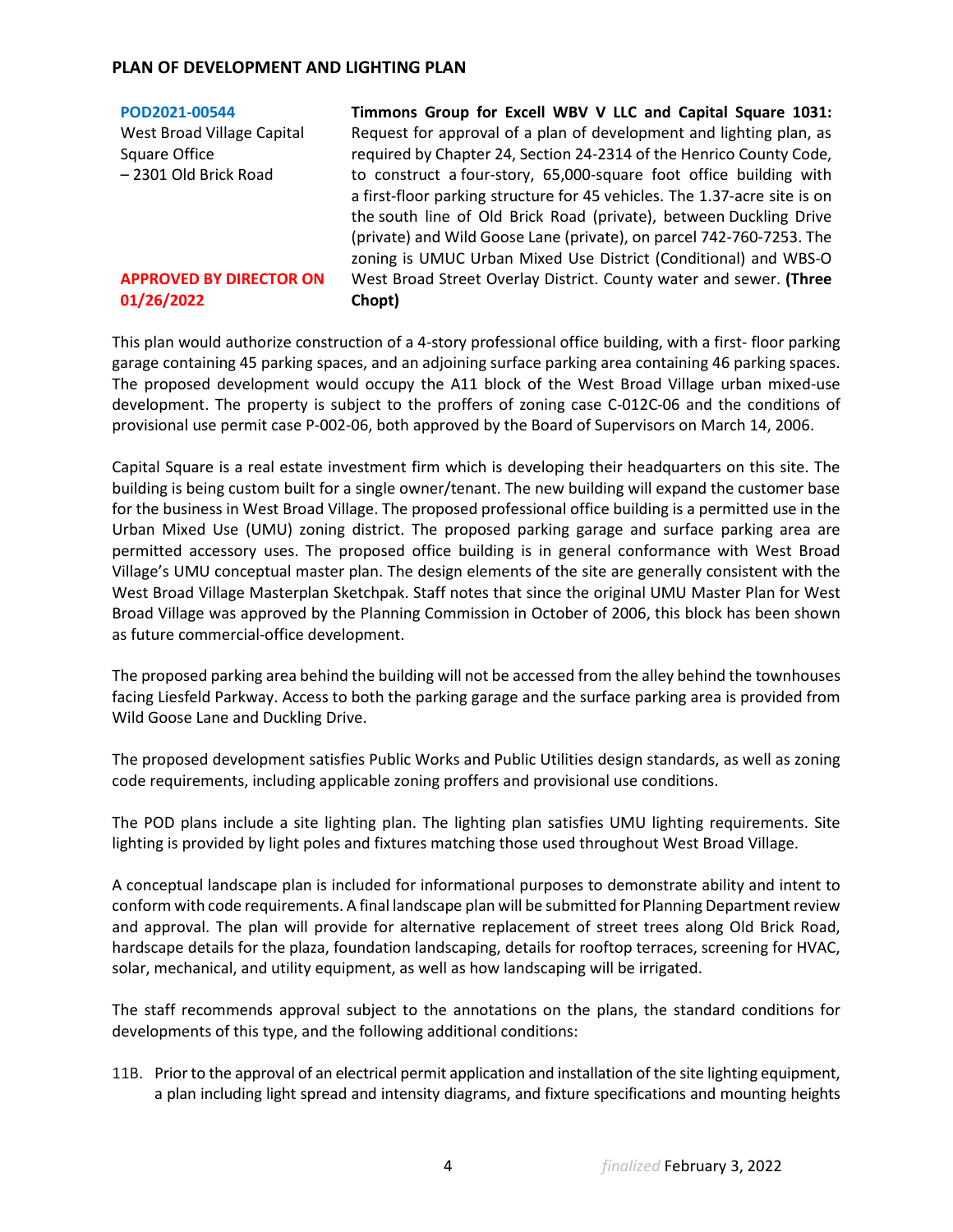# **PLAN OF DEVELOPMENT AND LIGHTING PLAN**

**[POD2021-00544](https://henrico.us/pdfs/planning/2022/jan22/pod/pod2021-00544.pdf)**

West Broad Village Capital Square Office – 2301 Old Brick Road

### **APPROVED BY DIRECTOR ON 01/26/2022**

**Timmons Group for Excell WBV V LLC and Capital Square 1031:**  Request for approval of a plan of development and lighting plan, as required by Chapter 24, Section 24-2314 of the Henrico County Code, to construct a four-story, 65,000-square foot office building with a first-floor parking structure for 45 vehicles. The 1.37-acre site is on the south line of Old Brick Road (private), between Duckling Drive (private) and Wild Goose Lane (private), on parcel 742-760-7253. The zoning is UMUC Urban Mixed Use District (Conditional) and WBS-O West Broad Street Overlay District. County water and sewer. **(Three Chopt)**

This plan would authorize construction of a 4-story professional office building, with a first- floor parking garage containing 45 parking spaces, and an adjoining surface parking area containing 46 parking spaces. The proposed development would occupy the A11 block of the West Broad Village urban mixed-use development. The property is subject to the proffers of zoning case C-012C-06 and the conditions of provisional use permit case P-002-06, both approved by the Board of Supervisors on March 14, 2006.

Capital Square is a real estate investment firm which is developing their headquarters on this site. The building is being custom built for a single owner/tenant. The new building will expand the customer base for the business in West Broad Village. The proposed professional office building is a permitted use in the Urban Mixed Use (UMU) zoning district. The proposed parking garage and surface parking area are permitted accessory uses. The proposed office building is in general conformance with West Broad Village's UMU conceptual master plan. The design elements of the site are generally consistent with the West Broad Village Masterplan Sketchpak. Staff notes that since the original UMU Master Plan for West Broad Village was approved by the Planning Commission in October of 2006, this block has been shown as future commercial-office development.

The proposed parking area behind the building will not be accessed from the alley behind the townhouses facing Liesfeld Parkway. Access to both the parking garage and the surface parking area is provided from Wild Goose Lane and Duckling Drive.

The proposed development satisfies Public Works and Public Utilities design standards, as well as zoning code requirements, including applicable zoning proffers and provisional use conditions.

The POD plans include a site lighting plan. The lighting plan satisfies UMU lighting requirements. Site lighting is provided by light poles and fixtures matching those used throughout West Broad Village.

A conceptual landscape plan is included for informational purposes to demonstrate ability and intent to conform with code requirements. A final landscape plan will be submitted for Planning Department review and approval. The plan will provide for alternative replacement of street trees along Old Brick Road, hardscape details for the plaza, foundation landscaping, details for rooftop terraces, screening for HVAC, solar, mechanical, and utility equipment, as well as how landscaping will be irrigated.

The staff recommends approval subject to the annotations on the plans, the standard conditions for developments of this type, and the following additional conditions:

11B. Prior to the approval of an electrical permit application and installation of the site lighting equipment, a plan including light spread and intensity diagrams, and fixture specifications and mounting heights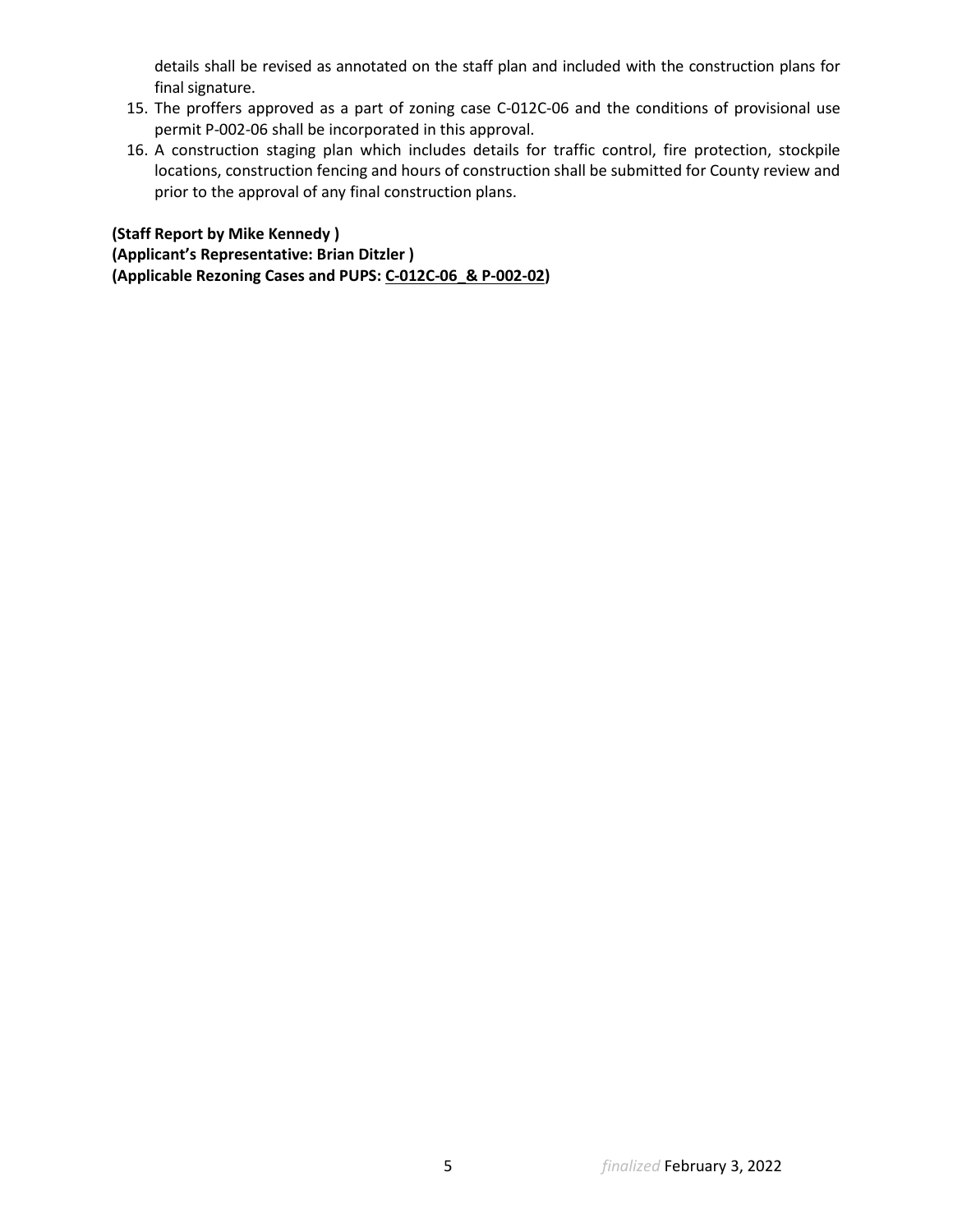details shall be revised as annotated on the staff plan and included with the construction plans for final signature.

- 15. The proffers approved as a part of zoning case C-012C-06 and the conditions of provisional use permit P-002-06 shall be incorporated in this approval.
- 16. A construction staging plan which includes details for traffic control, fire protection, stockpile locations, construction fencing and hours of construction shall be submitted for County review and prior to the approval of any final construction plans.

**(Staff Report by Mike Kennedy ) (Applicant's Representative: Brian Ditzler ) (Applicable Rezoning Cases and PUPS: C-012C-06\_& P-002-02)**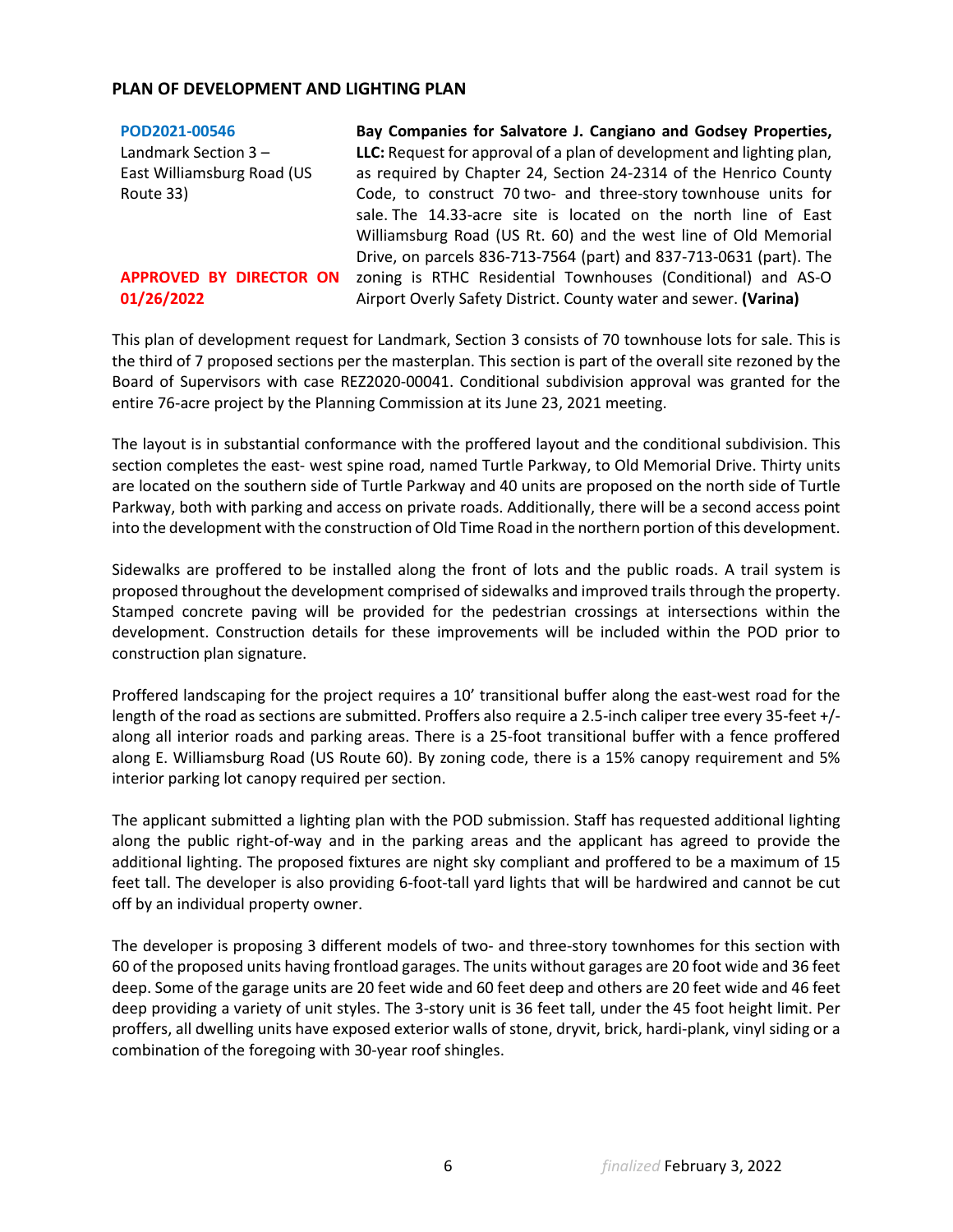## **PLAN OF DEVELOPMENT AND LIGHTING PLAN**

| POD2021-00546              | Bay Companies for Salvatore J. Cangiano and Godsey Properties,        |
|----------------------------|-----------------------------------------------------------------------|
| Landmark Section 3-        | LLC: Request for approval of a plan of development and lighting plan, |
| East Williamsburg Road (US | as required by Chapter 24, Section 24-2314 of the Henrico County      |
| Route 33)                  | Code, to construct 70 two- and three-story townhouse units for        |
|                            | sale. The 14.33-acre site is located on the north line of East        |
|                            | Williamsburg Road (US Rt. 60) and the west line of Old Memorial       |
|                            | Drive, on parcels 836-713-7564 (part) and 837-713-0631 (part). The    |
| APPROVED BY DIRECTOR ON    | zoning is RTHC Residential Townhouses (Conditional) and AS-O          |
| 01/26/2022                 | Airport Overly Safety District. County water and sewer. (Varina)      |

This plan of development request for Landmark, Section 3 consists of 70 townhouse lots for sale. This is the third of 7 proposed sections per the masterplan. This section is part of the overall site rezoned by the Board of Supervisors with case REZ2020-00041. Conditional subdivision approval was granted for the entire 76-acre project by the Planning Commission at its June 23, 2021 meeting.

The layout is in substantial conformance with the proffered layout and the conditional subdivision. This section completes the east- west spine road, named Turtle Parkway, to Old Memorial Drive. Thirty units are located on the southern side of Turtle Parkway and 40 units are proposed on the north side of Turtle Parkway, both with parking and access on private roads. Additionally, there will be a second access point into the development with the construction of Old Time Road in the northern portion of this development.

Sidewalks are proffered to be installed along the front of lots and the public roads. A trail system is proposed throughout the development comprised of sidewalks and improved trails through the property. Stamped concrete paving will be provided for the pedestrian crossings at intersections within the development. Construction details for these improvements will be included within the POD prior to construction plan signature.

Proffered landscaping for the project requires a 10' transitional buffer along the east-west road for the length of the road as sections are submitted. Proffers also require a 2.5-inch caliper tree every 35-feet +/ along all interior roads and parking areas. There is a 25-foot transitional buffer with a fence proffered along E. Williamsburg Road (US Route 60). By zoning code, there is a 15% canopy requirement and 5% interior parking lot canopy required per section.

The applicant submitted a lighting plan with the POD submission. Staff has requested additional lighting along the public right-of-way and in the parking areas and the applicant has agreed to provide the additional lighting. The proposed fixtures are night sky compliant and proffered to be a maximum of 15 feet tall. The developer is also providing 6-foot-tall yard lights that will be hardwired and cannot be cut off by an individual property owner.

The developer is proposing 3 different models of two- and three-story townhomes for this section with 60 of the proposed units having frontload garages. The units without garages are 20 foot wide and 36 feet deep. Some of the garage units are 20 feet wide and 60 feet deep and others are 20 feet wide and 46 feet deep providing a variety of unit styles. The 3-story unit is 36 feet tall, under the 45 foot height limit. Per proffers, all dwelling units have exposed exterior walls of stone, dryvit, brick, hardi-plank, vinyl siding or a combination of the foregoing with 30-year roof shingles.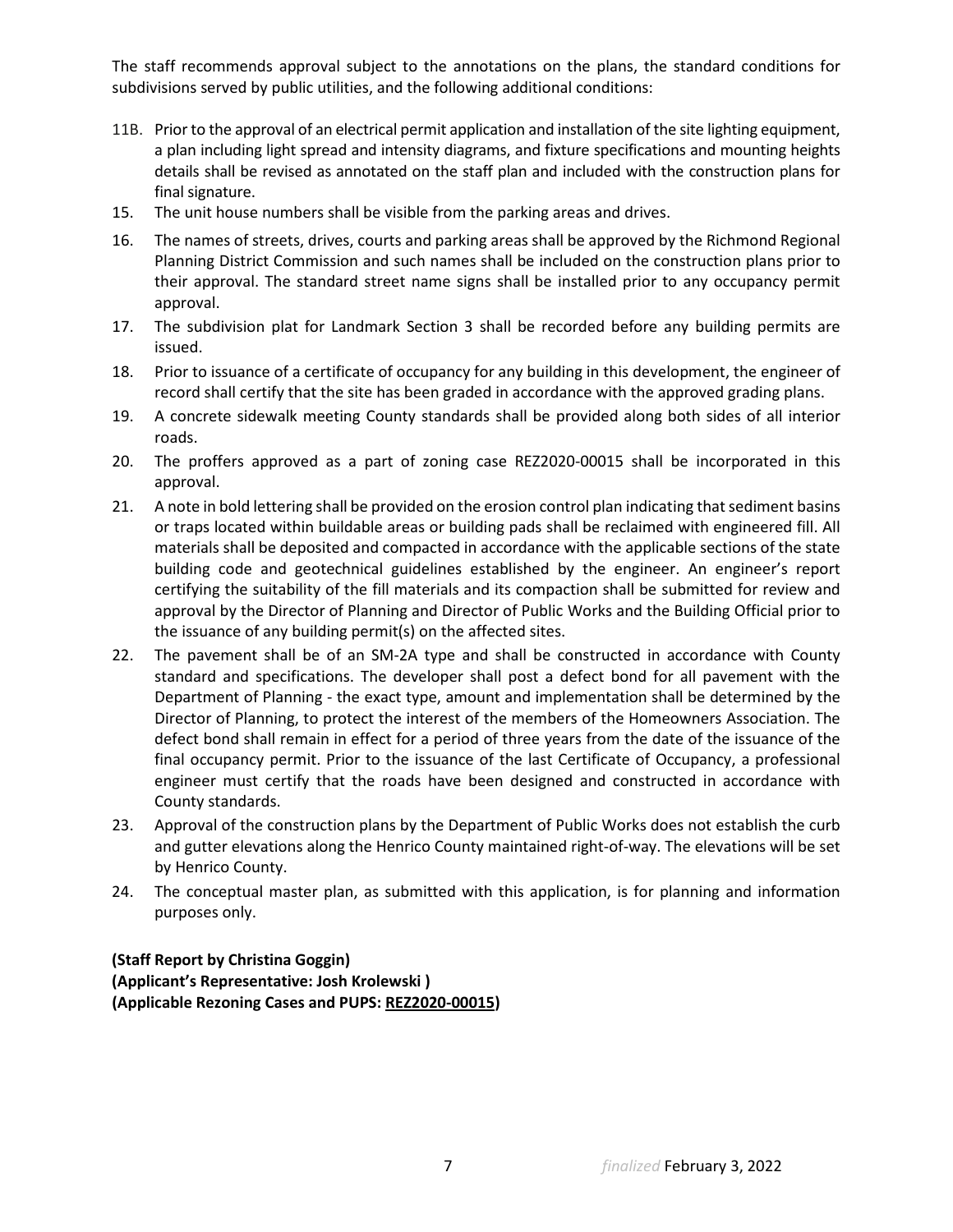The staff recommends approval subject to the annotations on the plans, the standard conditions for subdivisions served by public utilities, and the following additional conditions:

- 11B. Prior to the approval of an electrical permit application and installation of the site lighting equipment, a plan including light spread and intensity diagrams, and fixture specifications and mounting heights details shall be revised as annotated on the staff plan and included with the construction plans for final signature.
- 15. The unit house numbers shall be visible from the parking areas and drives.
- 16. The names of streets, drives, courts and parking areas shall be approved by the Richmond Regional Planning District Commission and such names shall be included on the construction plans prior to their approval. The standard street name signs shall be installed prior to any occupancy permit approval.
- 17. The subdivision plat for Landmark Section 3 shall be recorded before any building permits are issued.
- 18. Prior to issuance of a certificate of occupancy for any building in this development, the engineer of record shall certify that the site has been graded in accordance with the approved grading plans.
- 19. A concrete sidewalk meeting County standards shall be provided along both sides of all interior roads.
- 20. The proffers approved as a part of zoning case REZ2020-00015 shall be incorporated in this approval.
- 21. A note in bold lettering shall be provided on the erosion control plan indicating that sediment basins or traps located within buildable areas or building pads shall be reclaimed with engineered fill. All materials shall be deposited and compacted in accordance with the applicable sections of the state building code and geotechnical guidelines established by the engineer. An engineer's report certifying the suitability of the fill materials and its compaction shall be submitted for review and approval by the Director of Planning and Director of Public Works and the Building Official prior to the issuance of any building permit(s) on the affected sites.
- 22. The pavement shall be of an SM-2A type and shall be constructed in accordance with County standard and specifications. The developer shall post a defect bond for all pavement with the Department of Planning - the exact type, amount and implementation shall be determined by the Director of Planning, to protect the interest of the members of the Homeowners Association. The defect bond shall remain in effect for a period of three years from the date of the issuance of the final occupancy permit. Prior to the issuance of the last Certificate of Occupancy, a professional engineer must certify that the roads have been designed and constructed in accordance with County standards.
- 23. Approval of the construction plans by the Department of Public Works does not establish the curb and gutter elevations along the Henrico County maintained right-of-way. The elevations will be set by Henrico County.
- 24. The conceptual master plan, as submitted with this application, is for planning and information purposes only.

**(Staff Report by Christina Goggin) (Applicant's Representative: Josh Krolewski ) (Applicable Rezoning Cases and PUPS: REZ2020-00015)**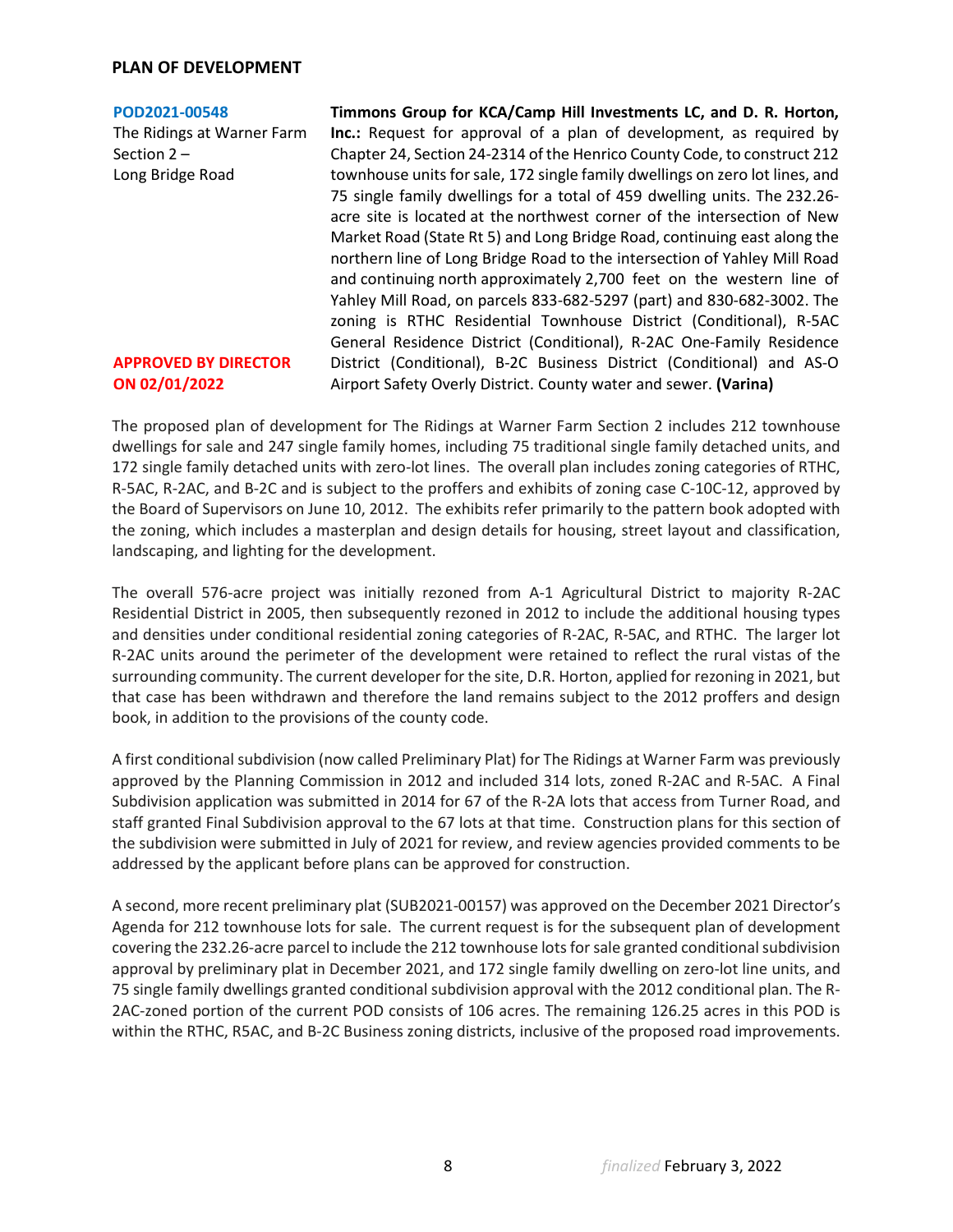## **PLAN OF DEVELOPMENT**

#### **[POD2021-00548](https://henrico.us/pdfs/planning/2022/jan22/pod/pod2021-00548.pdf)**

The Ridings at Warner Farm Section 2 – Long Bridge Road

**APPROVED BY DIRECTOR ON 02/01/2022**

**Timmons Group for KCA/Camp Hill Investments LC, and D. R. Horton, Inc.:** Request for approval of a plan of development, as required by Chapter 24, Section 24-2314 of the Henrico County Code, to construct 212 townhouse units for sale, 172 single family dwellings on zero lot lines, and 75 single family dwellings for a total of 459 dwelling units. The 232.26 acre site is located at the northwest corner of the intersection of New Market Road (State Rt 5) and Long Bridge Road, continuing east along the northern line of Long Bridge Road to the intersection of Yahley Mill Road and continuing north approximately 2,700 feet on the western line of Yahley Mill Road, on parcels 833-682-5297 (part) and 830-682-3002. The zoning is RTHC Residential Townhouse District (Conditional), R-5AC General Residence District (Conditional), R-2AC One-Family Residence District (Conditional), B-2C Business District (Conditional) and AS-O Airport Safety Overly District. County water and sewer. **(Varina)**

The proposed plan of development for The Ridings at Warner Farm Section 2 includes 212 townhouse dwellings for sale and 247 single family homes, including 75 traditional single family detached units, and 172 single family detached units with zero-lot lines. The overall plan includes zoning categories of RTHC, R-5AC, R-2AC, and B-2C and is subject to the proffers and exhibits of zoning case C-10C-12, approved by the Board of Supervisors on June 10, 2012. The exhibits refer primarily to the pattern book adopted with the zoning, which includes a masterplan and design details for housing, street layout and classification, landscaping, and lighting for the development.

The overall 576-acre project was initially rezoned from A-1 Agricultural District to majority R-2AC Residential District in 2005, then subsequently rezoned in 2012 to include the additional housing types and densities under conditional residential zoning categories of R-2AC, R-5AC, and RTHC. The larger lot R-2AC units around the perimeter of the development were retained to reflect the rural vistas of the surrounding community. The current developer for the site, D.R. Horton, applied for rezoning in 2021, but that case has been withdrawn and therefore the land remains subject to the 2012 proffers and design book, in addition to the provisions of the county code.

A first conditional subdivision (now called Preliminary Plat) for The Ridings at Warner Farm was previously approved by the Planning Commission in 2012 and included 314 lots, zoned R-2AC and R-5AC. A Final Subdivision application was submitted in 2014 for 67 of the R-2A lots that access from Turner Road, and staff granted Final Subdivision approval to the 67 lots at that time. Construction plans for this section of the subdivision were submitted in July of 2021 for review, and review agencies provided comments to be addressed by the applicant before plans can be approved for construction.

A second, more recent preliminary plat (SUB2021-00157) was approved on the December 2021 Director's Agenda for 212 townhouse lots for sale. The current request is for the subsequent plan of development covering the 232.26-acre parcel to include the 212 townhouse lots for sale granted conditional subdivision approval by preliminary plat in December 2021, and 172 single family dwelling on zero-lot line units, and 75 single family dwellings granted conditional subdivision approval with the 2012 conditional plan. The R-2AC-zoned portion of the current POD consists of 106 acres. The remaining 126.25 acres in this POD is within the RTHC, R5AC, and B-2C Business zoning districts, inclusive of the proposed road improvements.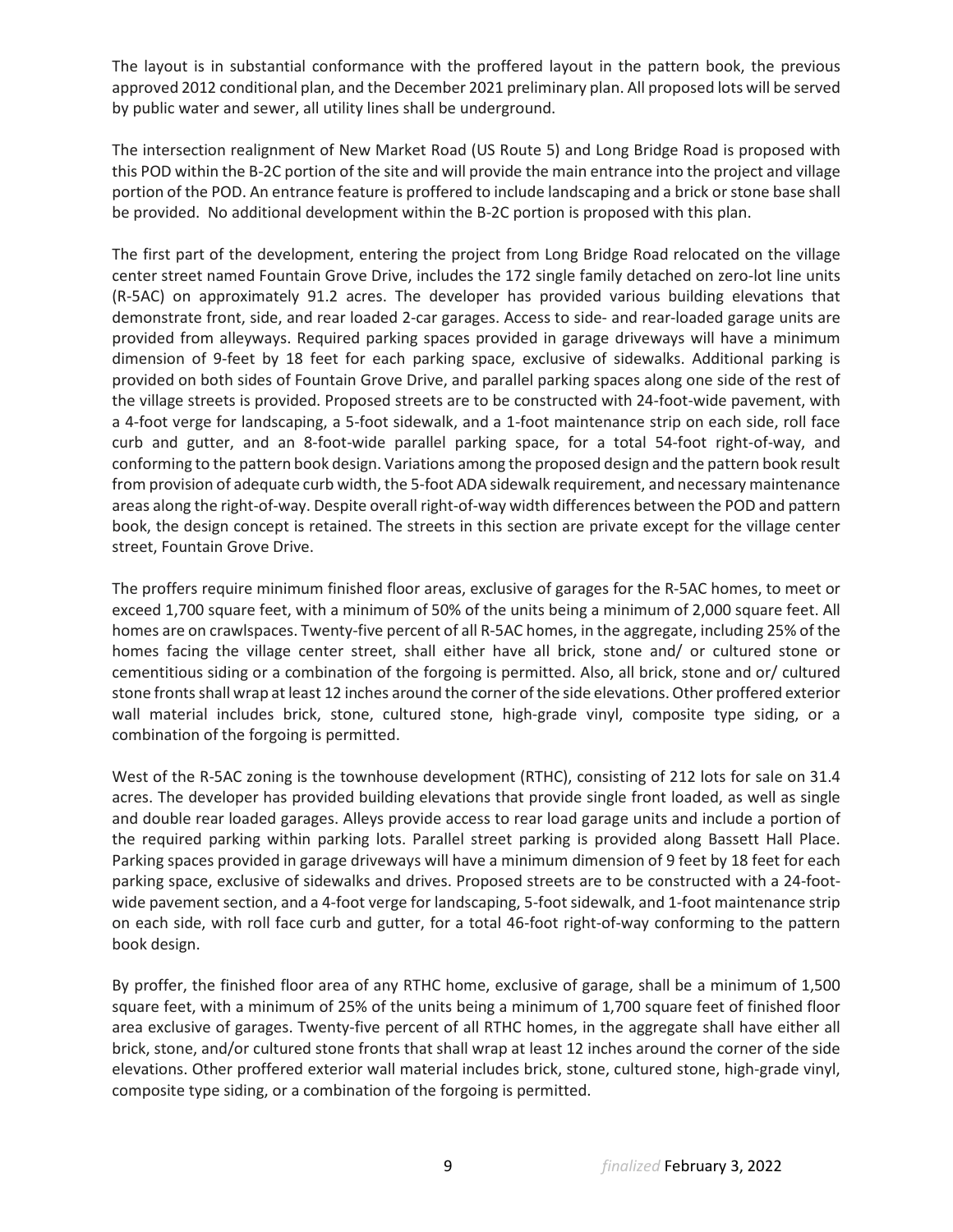The layout is in substantial conformance with the proffered layout in the pattern book, the previous approved 2012 conditional plan, and the December 2021 preliminary plan. All proposed lots will be served by public water and sewer, all utility lines shall be underground.

The intersection realignment of New Market Road (US Route 5) and Long Bridge Road is proposed with this POD within the B-2C portion of the site and will provide the main entrance into the project and village portion of the POD. An entrance feature is proffered to include landscaping and a brick or stone base shall be provided. No additional development within the B-2C portion is proposed with this plan.

The first part of the development, entering the project from Long Bridge Road relocated on the village center street named Fountain Grove Drive, includes the 172 single family detached on zero-lot line units (R-5AC) on approximately 91.2 acres. The developer has provided various building elevations that demonstrate front, side, and rear loaded 2-car garages. Access to side- and rear-loaded garage units are provided from alleyways. Required parking spaces provided in garage driveways will have a minimum dimension of 9-feet by 18 feet for each parking space, exclusive of sidewalks. Additional parking is provided on both sides of Fountain Grove Drive, and parallel parking spaces along one side of the rest of the village streets is provided. Proposed streets are to be constructed with 24-foot-wide pavement, with a 4-foot verge for landscaping, a 5-foot sidewalk, and a 1-foot maintenance strip on each side, roll face curb and gutter, and an 8-foot-wide parallel parking space, for a total 54-foot right-of-way, and conforming to the pattern book design. Variations among the proposed design and the pattern book result from provision of adequate curb width, the 5-foot ADA sidewalk requirement, and necessary maintenance areas along the right-of-way. Despite overall right-of-way width differences between the POD and pattern book, the design concept is retained. The streets in this section are private except for the village center street, Fountain Grove Drive.

The proffers require minimum finished floor areas, exclusive of garages for the R-5AC homes, to meet or exceed 1,700 square feet, with a minimum of 50% of the units being a minimum of 2,000 square feet. All homes are on crawlspaces. Twenty-five percent of all R-5AC homes, in the aggregate, including 25% of the homes facing the village center street, shall either have all brick, stone and/ or cultured stone or cementitious siding or a combination of the forgoing is permitted. Also, all brick, stone and or/ cultured stone fronts shall wrap at least 12 inches around the corner of the side elevations. Other proffered exterior wall material includes brick, stone, cultured stone, high-grade vinyl, composite type siding, or a combination of the forgoing is permitted.

West of the R-5AC zoning is the townhouse development (RTHC), consisting of 212 lots for sale on 31.4 acres. The developer has provided building elevations that provide single front loaded, as well as single and double rear loaded garages. Alleys provide access to rear load garage units and include a portion of the required parking within parking lots. Parallel street parking is provided along Bassett Hall Place. Parking spaces provided in garage driveways will have a minimum dimension of 9 feet by 18 feet for each parking space, exclusive of sidewalks and drives. Proposed streets are to be constructed with a 24-footwide pavement section, and a 4-foot verge for landscaping, 5-foot sidewalk, and 1-foot maintenance strip on each side, with roll face curb and gutter, for a total 46-foot right-of-way conforming to the pattern book design.

By proffer, the finished floor area of any RTHC home, exclusive of garage, shall be a minimum of 1,500 square feet, with a minimum of 25% of the units being a minimum of 1,700 square feet of finished floor area exclusive of garages. Twenty-five percent of all RTHC homes, in the aggregate shall have either all brick, stone, and/or cultured stone fronts that shall wrap at least 12 inches around the corner of the side elevations. Other proffered exterior wall material includes brick, stone, cultured stone, high-grade vinyl, composite type siding, or a combination of the forgoing is permitted.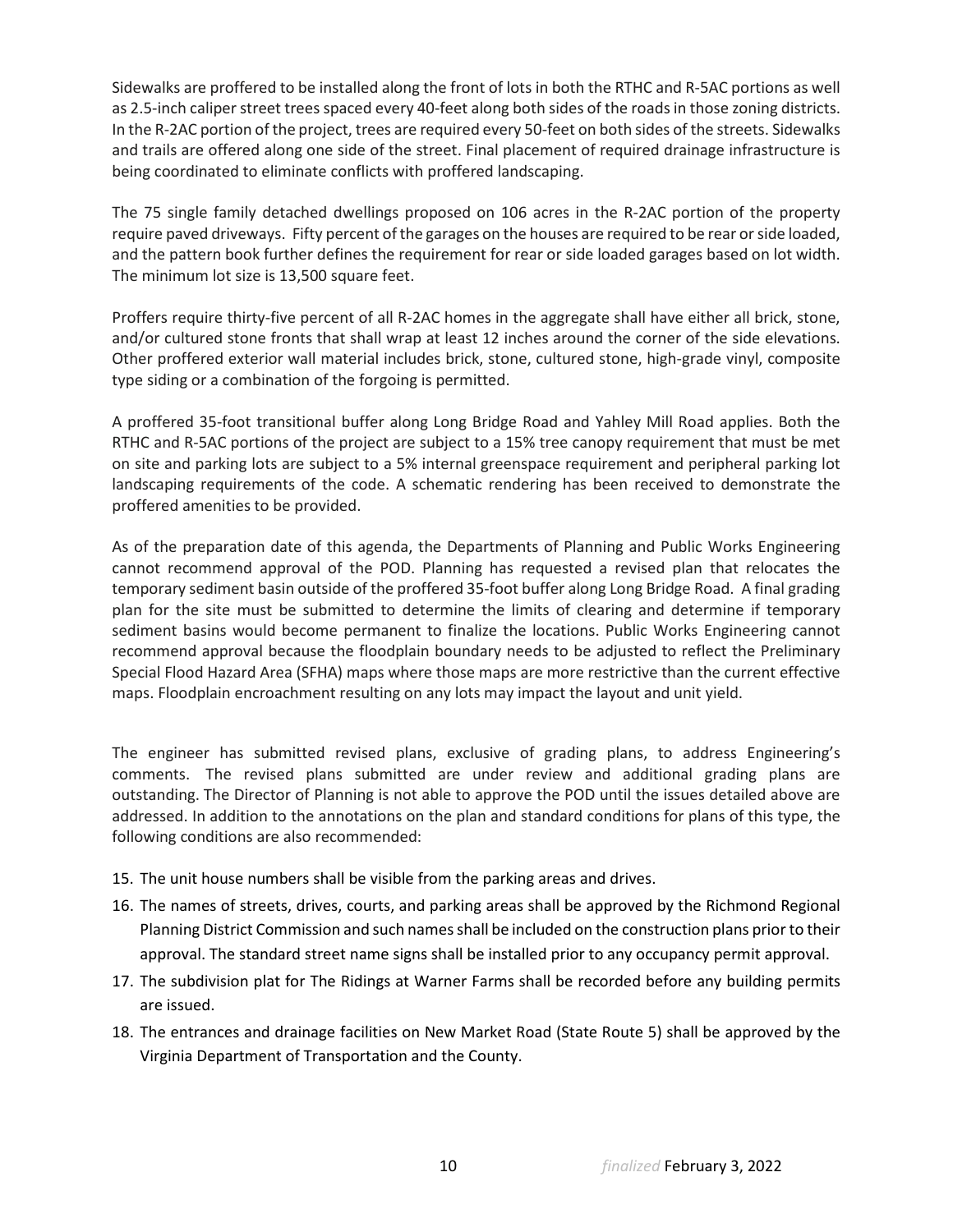Sidewalks are proffered to be installed along the front of lots in both the RTHC and R-5AC portions as well as 2.5-inch caliper street trees spaced every 40-feet along both sides of the roads in those zoning districts. In the R-2AC portion of the project, trees are required every 50-feet on both sides of the streets. Sidewalks and trails are offered along one side of the street. Final placement of required drainage infrastructure is being coordinated to eliminate conflicts with proffered landscaping.

The 75 single family detached dwellings proposed on 106 acres in the R-2AC portion of the property require paved driveways. Fifty percent of the garages on the houses are required to be rear or side loaded, and the pattern book further defines the requirement for rear or side loaded garages based on lot width. The minimum lot size is 13,500 square feet.

Proffers require thirty-five percent of all R-2AC homes in the aggregate shall have either all brick, stone, and/or cultured stone fronts that shall wrap at least 12 inches around the corner of the side elevations. Other proffered exterior wall material includes brick, stone, cultured stone, high-grade vinyl, composite type siding or a combination of the forgoing is permitted.

A proffered 35-foot transitional buffer along Long Bridge Road and Yahley Mill Road applies. Both the RTHC and R-5AC portions of the project are subject to a 15% tree canopy requirement that must be met on site and parking lots are subject to a 5% internal greenspace requirement and peripheral parking lot landscaping requirements of the code. A schematic rendering has been received to demonstrate the proffered amenities to be provided.

As of the preparation date of this agenda, the Departments of Planning and Public Works Engineering cannot recommend approval of the POD. Planning has requested a revised plan that relocates the temporary sediment basin outside of the proffered 35-foot buffer along Long Bridge Road. A final grading plan for the site must be submitted to determine the limits of clearing and determine if temporary sediment basins would become permanent to finalize the locations. Public Works Engineering cannot recommend approval because the floodplain boundary needs to be adjusted to reflect the Preliminary Special Flood Hazard Area (SFHA) maps where those maps are more restrictive than the current effective maps. Floodplain encroachment resulting on any lots may impact the layout and unit yield.

The engineer has submitted revised plans, exclusive of grading plans, to address Engineering's comments. The revised plans submitted are under review and additional grading plans are outstanding. The Director of Planning is not able to approve the POD until the issues detailed above are addressed. In addition to the annotations on the plan and standard conditions for plans of this type, the following conditions are also recommended:

- 15. The unit house numbers shall be visible from the parking areas and drives.
- 16. The names of streets, drives, courts, and parking areas shall be approved by the Richmond Regional Planning District Commission and such names shall be included on the construction plans prior to their approval. The standard street name signs shall be installed prior to any occupancy permit approval.
- 17. The subdivision plat for The Ridings at Warner Farms shall be recorded before any building permits are issued.
- 18. The entrances and drainage facilities on New Market Road (State Route 5) shall be approved by the Virginia Department of Transportation and the County.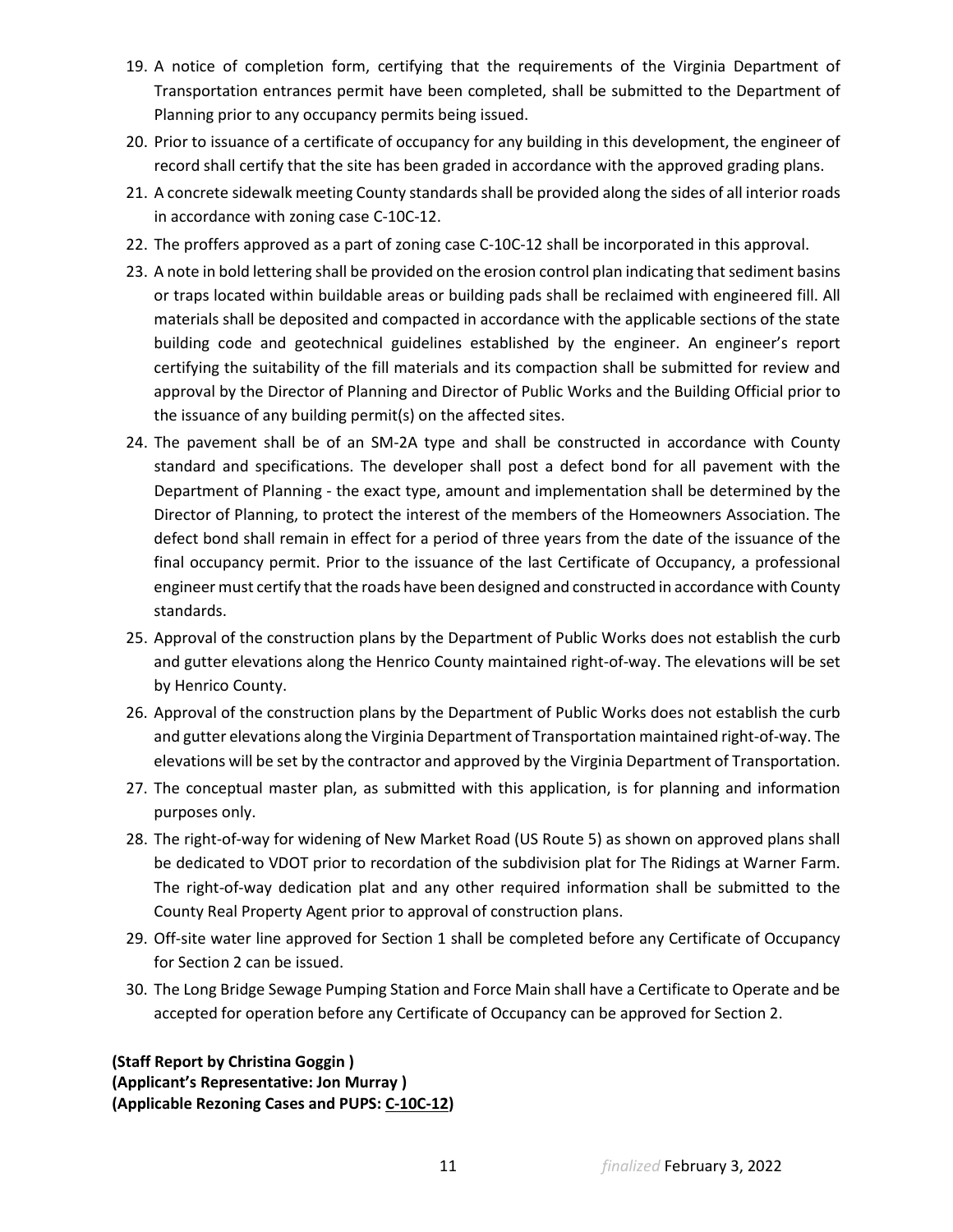- 19. A notice of completion form, certifying that the requirements of the Virginia Department of Transportation entrances permit have been completed, shall be submitted to the Department of Planning prior to any occupancy permits being issued.
- 20. Prior to issuance of a certificate of occupancy for any building in this development, the engineer of record shall certify that the site has been graded in accordance with the approved grading plans.
- 21. A concrete sidewalk meeting County standards shall be provided along the sides of all interior roads in accordance with zoning case C-10C-12.
- 22. The proffers approved as a part of zoning case C-10C-12 shall be incorporated in this approval.
- 23. A note in bold lettering shall be provided on the erosion control plan indicating that sediment basins or traps located within buildable areas or building pads shall be reclaimed with engineered fill. All materials shall be deposited and compacted in accordance with the applicable sections of the state building code and geotechnical guidelines established by the engineer. An engineer's report certifying the suitability of the fill materials and its compaction shall be submitted for review and approval by the Director of Planning and Director of Public Works and the Building Official prior to the issuance of any building permit(s) on the affected sites.
- 24. The pavement shall be of an SM-2A type and shall be constructed in accordance with County standard and specifications. The developer shall post a defect bond for all pavement with the Department of Planning - the exact type, amount and implementation shall be determined by the Director of Planning, to protect the interest of the members of the Homeowners Association. The defect bond shall remain in effect for a period of three years from the date of the issuance of the final occupancy permit. Prior to the issuance of the last Certificate of Occupancy, a professional engineer must certify that the roads have been designed and constructed in accordance with County standards.
- 25. Approval of the construction plans by the Department of Public Works does not establish the curb and gutter elevations along the Henrico County maintained right-of-way. The elevations will be set by Henrico County.
- 26. Approval of the construction plans by the Department of Public Works does not establish the curb and gutter elevations along the Virginia Department of Transportation maintained right-of-way. The elevations will be set by the contractor and approved by the Virginia Department of Transportation.
- 27. The conceptual master plan, as submitted with this application, is for planning and information purposes only.
- 28. The right-of-way for widening of New Market Road (US Route 5) as shown on approved plans shall be dedicated to VDOT prior to recordation of the subdivision plat for The Ridings at Warner Farm. The right-of-way dedication plat and any other required information shall be submitted to the County Real Property Agent prior to approval of construction plans.
- 29. Off-site water line approved for Section 1 shall be completed before any Certificate of Occupancy for Section 2 can be issued.
- 30. The Long Bridge Sewage Pumping Station and Force Main shall have a Certificate to Operate and be accepted for operation before any Certificate of Occupancy can be approved for Section 2.

**(Staff Report by Christina Goggin ) (Applicant's Representative: Jon Murray ) (Applicable Rezoning Cases and PUPS: C-10C-12)**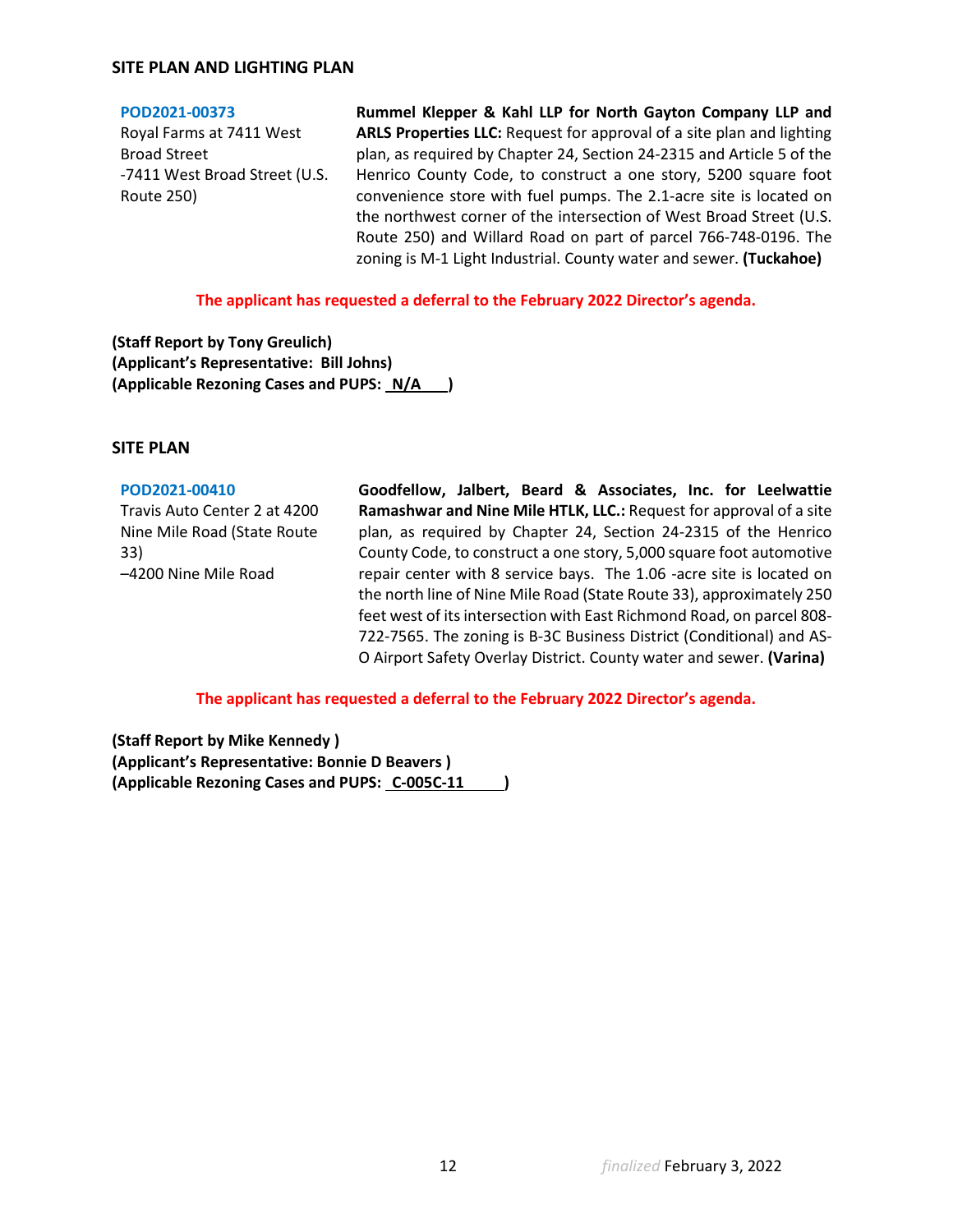## **SITE PLAN AND LIGHTING PLAN**

#### **[POD2021-00373](https://henrico.us/pdfs/planning/2022/jan22/pod/pod2021-00373.pdf)**

Royal Farms at 7411 West Broad Street -7411 West Broad Street (U.S. Route 250)

**Rummel Klepper & Kahl LLP for North Gayton Company LLP and ARLS Properties LLC:** Request for approval of a site plan and lighting plan, as required by Chapter 24, Section 24-2315 and Article 5 of the Henrico County Code, to construct a one story, 5200 square foot convenience store with fuel pumps. The 2.1-acre site is located on the northwest corner of the intersection of West Broad Street (U.S. Route 250) and Willard Road on part of parcel 766-748-0196. The zoning is M-1 Light Industrial. County water and sewer. **(Tuckahoe)**

**The applicant has requested a deferral to the February 2022 Director's agenda.**

**(Staff Report by Tony Greulich) (Applicant's Representative: Bill Johns) (Applicable Rezoning Cases and PUPS: N/A )** 

## **SITE PLAN**

### **[POD2021-00410](https://henrico.us/pdfs/planning/2022/jan22/pod/pod2021-00410.pdf)**

Travis Auto Center 2 at 4200 Nine Mile Road (State Route 33) –4200 Nine Mile Road

**Goodfellow, Jalbert, Beard & Associates, Inc. for Leelwattie Ramashwar and Nine Mile HTLK, LLC.:** Request for approval of a site plan, as required by Chapter 24, Section 24-2315 of the Henrico County Code, to construct a one story, 5,000 square foot automotive repair center with 8 service bays. The 1.06 -acre site is located on the north line of Nine Mile Road (State Route 33), approximately 250 feet west of its intersection with East Richmond Road, on parcel 808- 722-7565. The zoning is B-3C Business District (Conditional) and AS-O Airport Safety Overlay District. County water and sewer. **(Varina)**

**The applicant has requested a deferral to the February 2022 Director's agenda.**

**(Staff Report by Mike Kennedy ) (Applicant's Representative: Bonnie D Beavers ) (Applicable Rezoning Cases and PUPS: C-005C-11 )**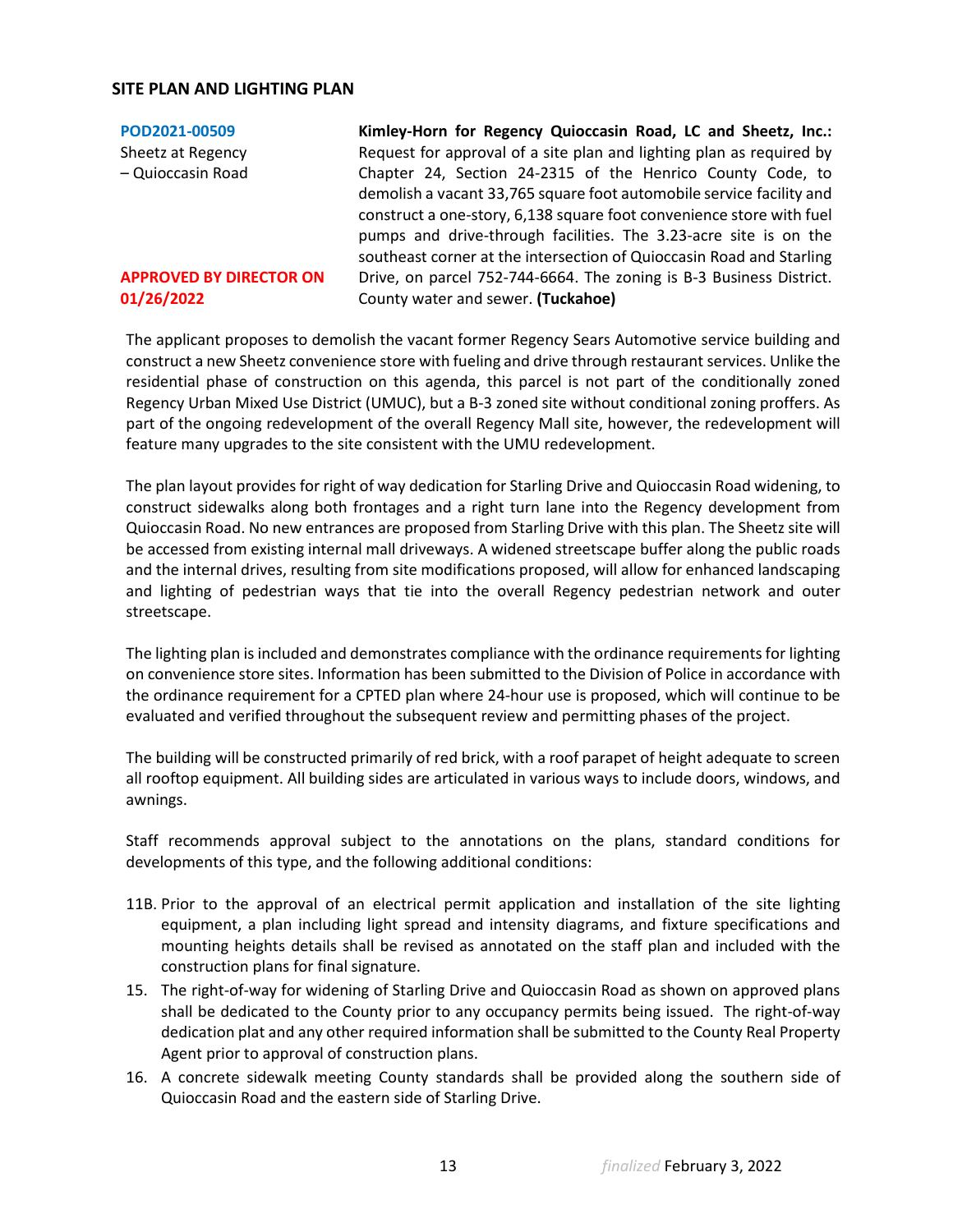## **SITE PLAN AND LIGHTING PLAN**

# **[POD2021-00509](https://henrico.us/pdfs/planning/2022/jan22/pod/pod2021-00509.pdf)** Sheetz at Regency

– Quioccasin Road

## **APPROVED BY DIRECTOR ON 01/26/2022**

**Kimley-Horn for Regency Quioccasin Road, LC and Sheetz, Inc.:**  Request for approval of a site plan and lighting plan as required by Chapter 24, Section 24-2315 of the Henrico County Code, to demolish a vacant 33,765 square foot automobile service facility and construct a one-story, 6,138 square foot convenience store with fuel pumps and drive-through facilities. The 3.23-acre site is on the southeast corner at the intersection of Quioccasin Road and Starling Drive, on parcel 752-744-6664. The zoning is B-3 Business District. County water and sewer. **(Tuckahoe)**

The applicant proposes to demolish the vacant former Regency Sears Automotive service building and construct a new Sheetz convenience store with fueling and drive through restaurant services. Unlike the residential phase of construction on this agenda, this parcel is not part of the conditionally zoned Regency Urban Mixed Use District (UMUC), but a B-3 zoned site without conditional zoning proffers. As part of the ongoing redevelopment of the overall Regency Mall site, however, the redevelopment will feature many upgrades to the site consistent with the UMU redevelopment.

The plan layout provides for right of way dedication for Starling Drive and Quioccasin Road widening, to construct sidewalks along both frontages and a right turn lane into the Regency development from Quioccasin Road. No new entrances are proposed from Starling Drive with this plan. The Sheetz site will be accessed from existing internal mall driveways. A widened streetscape buffer along the public roads and the internal drives, resulting from site modifications proposed, will allow for enhanced landscaping and lighting of pedestrian ways that tie into the overall Regency pedestrian network and outer streetscape.

The lighting plan is included and demonstrates compliance with the ordinance requirements for lighting on convenience store sites. Information has been submitted to the Division of Police in accordance with the ordinance requirement for a CPTED plan where 24-hour use is proposed, which will continue to be evaluated and verified throughout the subsequent review and permitting phases of the project.

The building will be constructed primarily of red brick, with a roof parapet of height adequate to screen all rooftop equipment. All building sides are articulated in various ways to include doors, windows, and awnings.

Staff recommends approval subject to the annotations on the plans, standard conditions for developments of this type, and the following additional conditions:

- 11B. Prior to the approval of an electrical permit application and installation of the site lighting equipment, a plan including light spread and intensity diagrams, and fixture specifications and mounting heights details shall be revised as annotated on the staff plan and included with the construction plans for final signature.
- 15. The right-of-way for widening of Starling Drive and Quioccasin Road as shown on approved plans shall be dedicated to the County prior to any occupancy permits being issued. The right-of-way dedication plat and any other required information shall be submitted to the County Real Property Agent prior to approval of construction plans.
- 16. A concrete sidewalk meeting County standards shall be provided along the southern side of Quioccasin Road and the eastern side of Starling Drive.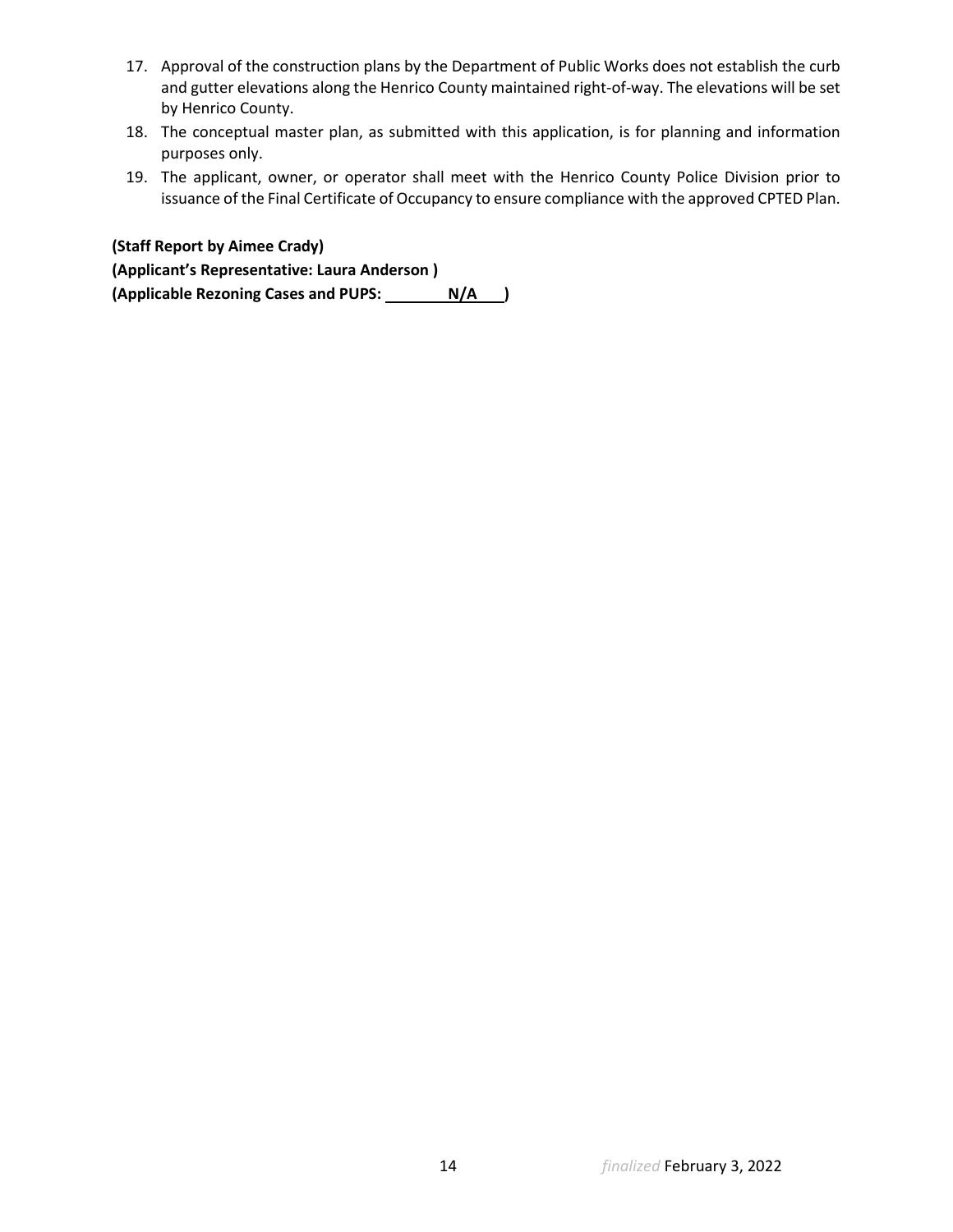- 17. Approval of the construction plans by the Department of Public Works does not establish the curb and gutter elevations along the Henrico County maintained right-of-way. The elevations will be set by Henrico County.
- 18. The conceptual master plan, as submitted with this application, is for planning and information purposes only.
- 19. The applicant, owner, or operator shall meet with the Henrico County Police Division prior to issuance of the Final Certificate of Occupancy to ensure compliance with the approved CPTED Plan.

# **(Staff Report by Aimee Crady)**

**(Applicant's Representative: Laura Anderson )** 

(Applicable Rezoning Cases and PUPS: N/A )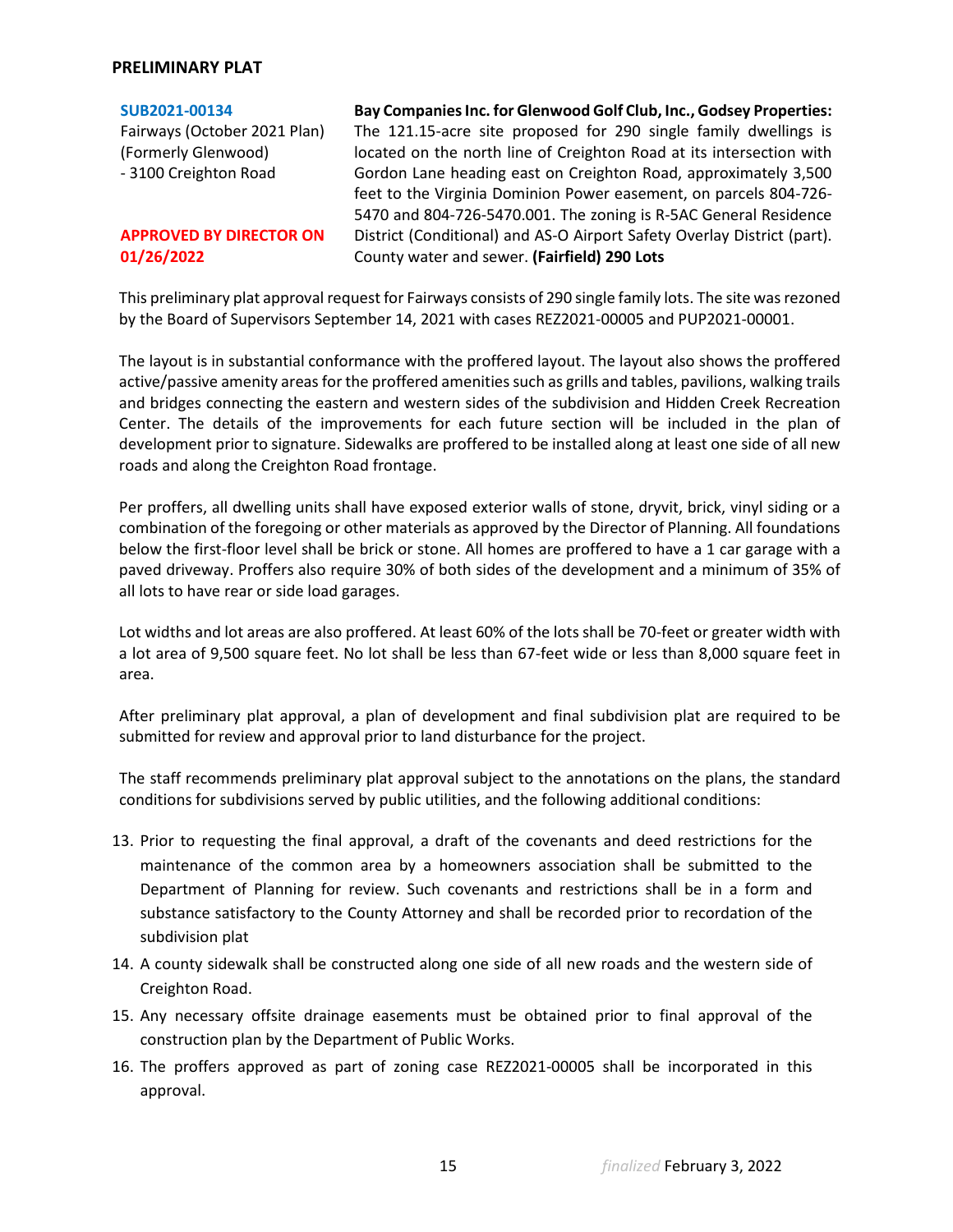## **PRELIMINARY PLAT**

| SUB2021-00134                  | Bay Companies Inc. for Glenwood Golf Club, Inc., Godsey Properties:     |
|--------------------------------|-------------------------------------------------------------------------|
| Fairways (October 2021 Plan)   | The 121.15-acre site proposed for 290 single family dwellings is        |
| (Formerly Glenwood)            | located on the north line of Creighton Road at its intersection with    |
| - 3100 Creighton Road          | Gordon Lane heading east on Creighton Road, approximately 3,500         |
|                                | feet to the Virginia Dominion Power easement, on parcels 804-726-       |
|                                | 5470 and 804-726-5470.001. The zoning is R-5AC General Residence        |
| <b>APPROVED BY DIRECTOR ON</b> | District (Conditional) and AS-O Airport Safety Overlay District (part). |
| 01/26/2022                     | County water and sewer. (Fairfield) 290 Lots                            |

This preliminary plat approval request for Fairways consists of 290 single family lots. The site was rezoned by the Board of Supervisors September 14, 2021 with cases REZ2021-00005 and PUP2021-00001.

The layout is in substantial conformance with the proffered layout. The layout also shows the proffered active/passive amenity areas for the proffered amenities such as grills and tables, pavilions, walking trails and bridges connecting the eastern and western sides of the subdivision and Hidden Creek Recreation Center. The details of the improvements for each future section will be included in the plan of development prior to signature. Sidewalks are proffered to be installed along at least one side of all new roads and along the Creighton Road frontage.

Per proffers, all dwelling units shall have exposed exterior walls of stone, dryvit, brick, vinyl siding or a combination of the foregoing or other materials as approved by the Director of Planning. All foundations below the first-floor level shall be brick or stone. All homes are proffered to have a 1 car garage with a paved driveway. Proffers also require 30% of both sides of the development and a minimum of 35% of all lots to have rear or side load garages.

Lot widths and lot areas are also proffered. At least 60% of the lots shall be 70-feet or greater width with a lot area of 9,500 square feet. No lot shall be less than 67-feet wide or less than 8,000 square feet in area.

After preliminary plat approval, a plan of development and final subdivision plat are required to be submitted for review and approval prior to land disturbance for the project.

The staff recommends preliminary plat approval subject to the annotations on the plans, the standard conditions for subdivisions served by public utilities, and the following additional conditions:

- 13. Prior to requesting the final approval, a draft of the covenants and deed restrictions for the maintenance of the common area by a homeowners association shall be submitted to the Department of Planning for review. Such covenants and restrictions shall be in a form and substance satisfactory to the County Attorney and shall be recorded prior to recordation of the subdivision plat
- 14. A county sidewalk shall be constructed along one side of all new roads and the western side of Creighton Road.
- 15. Any necessary offsite drainage easements must be obtained prior to final approval of the construction plan by the Department of Public Works.
- 16. The proffers approved as part of zoning case REZ2021-00005 shall be incorporated in this approval.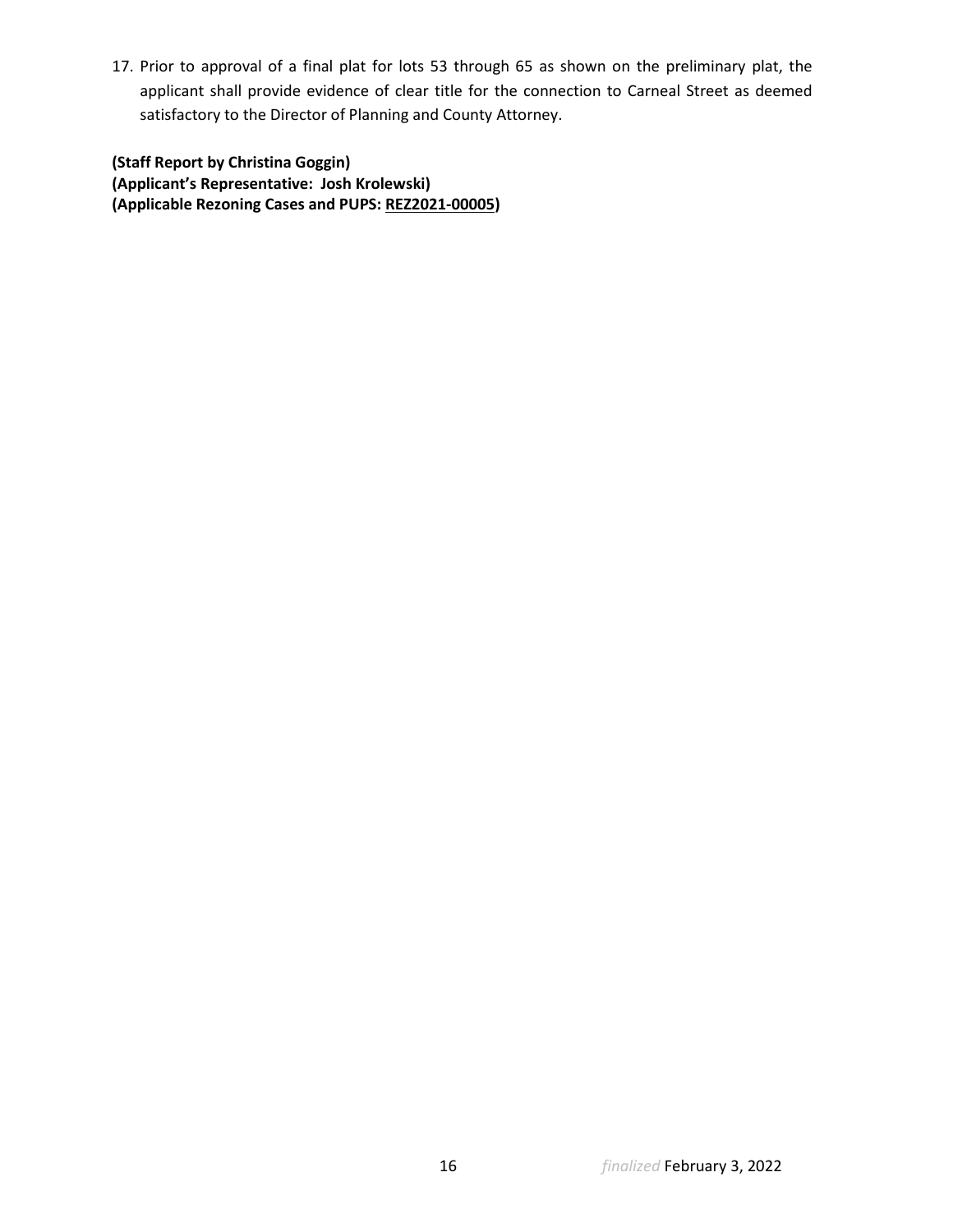17. Prior to approval of a final plat for lots 53 through 65 as shown on the preliminary plat, the applicant shall provide evidence of clear title for the connection to Carneal Street as deemed satisfactory to the Director of Planning and County Attorney.

**(Staff Report by Christina Goggin) (Applicant's Representative: Josh Krolewski) (Applicable Rezoning Cases and PUPS: REZ2021-00005)**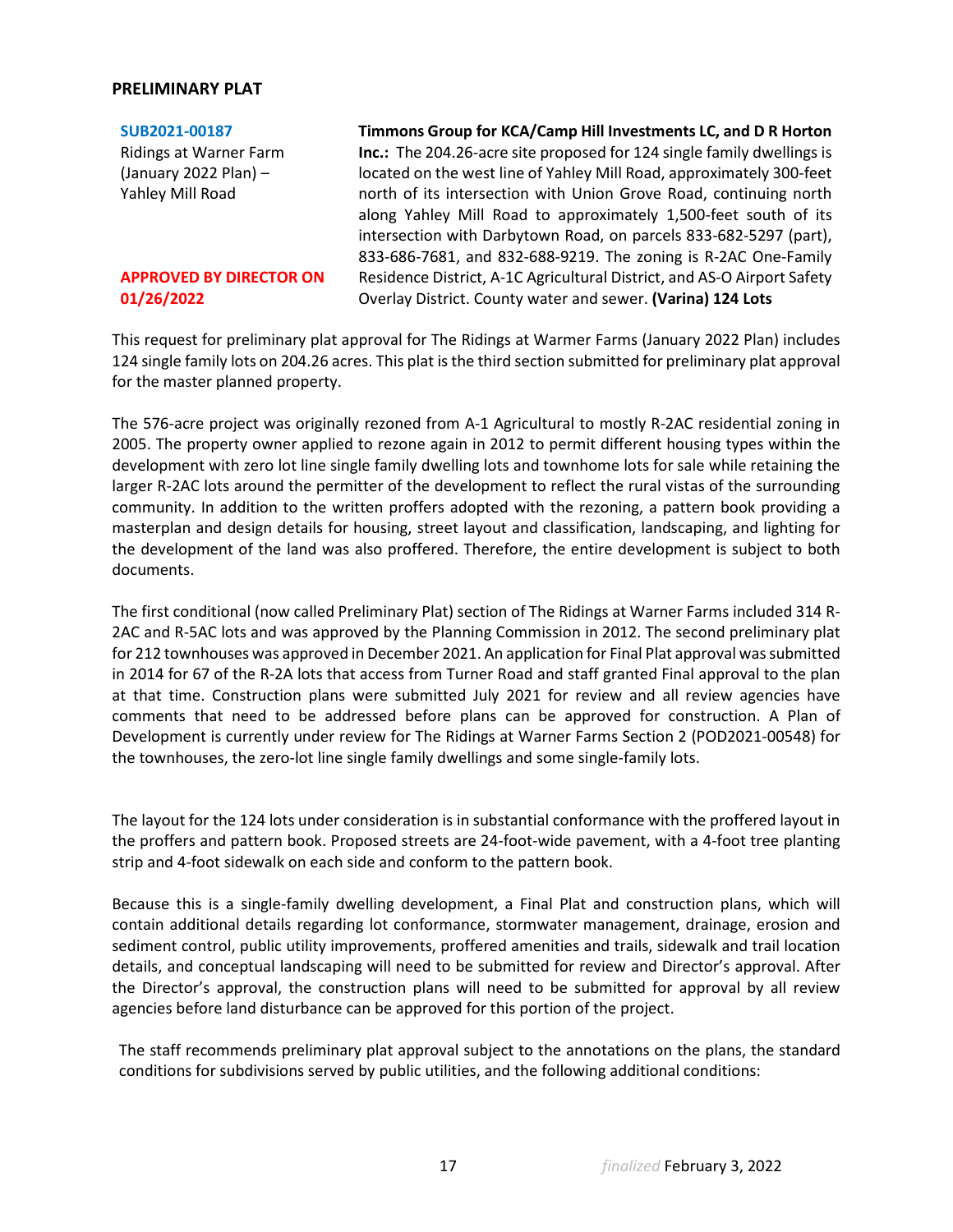## **PRELIMINARY PLAT**

**[SUB2021-00187](https://henrico.us/pdfs/planning/2022/jan22/pod/sub2021-00187.pdf)**

Ridings at Warner Farm (January 2022 Plan) – Yahley Mill Road

### **APPROVED BY DIRECTOR ON 01/26/2022**

**Timmons Group for KCA/Camp Hill Investments LC, and D R Horton Inc.:** The 204.26-acre site proposed for 124 single family dwellings is located on the west line of Yahley Mill Road, approximately 300-feet north of its intersection with Union Grove Road, continuing north along Yahley Mill Road to approximately 1,500-feet south of its intersection with Darbytown Road, on parcels 833-682-5297 (part), 833-686-7681, and 832-688-9219. The zoning is R-2AC One-Family Residence District, A-1C Agricultural District, and AS-O Airport Safety Overlay District. County water and sewer. **(Varina) 124 Lots**

This request for preliminary plat approval for The Ridings at Warmer Farms (January 2022 Plan) includes 124 single family lots on 204.26 acres. This plat is the third section submitted for preliminary plat approval for the master planned property.

The 576-acre project was originally rezoned from A-1 Agricultural to mostly R-2AC residential zoning in 2005. The property owner applied to rezone again in 2012 to permit different housing types within the development with zero lot line single family dwelling lots and townhome lots for sale while retaining the larger R-2AC lots around the permitter of the development to reflect the rural vistas of the surrounding community. In addition to the written proffers adopted with the rezoning, a pattern book providing a masterplan and design details for housing, street layout and classification, landscaping, and lighting for the development of the land was also proffered. Therefore, the entire development is subject to both documents.

The first conditional (now called Preliminary Plat) section of The Ridings at Warner Farms included 314 R-2AC and R-5AC lots and was approved by the Planning Commission in 2012. The second preliminary plat for 212 townhouses was approved in December 2021. An application for Final Plat approval was submitted in 2014 for 67 of the R-2A lots that access from Turner Road and staff granted Final approval to the plan at that time. Construction plans were submitted July 2021 for review and all review agencies have comments that need to be addressed before plans can be approved for construction. A Plan of Development is currently under review for The Ridings at Warner Farms Section 2 (POD2021-00548) for the townhouses, the zero-lot line single family dwellings and some single-family lots.

The layout for the 124 lots under consideration is in substantial conformance with the proffered layout in the proffers and pattern book. Proposed streets are 24-foot-wide pavement, with a 4-foot tree planting strip and 4-foot sidewalk on each side and conform to the pattern book.

Because this is a single-family dwelling development, a Final Plat and construction plans, which will contain additional details regarding lot conformance, stormwater management, drainage, erosion and sediment control, public utility improvements, proffered amenities and trails, sidewalk and trail location details, and conceptual landscaping will need to be submitted for review and Director's approval. After the Director's approval, the construction plans will need to be submitted for approval by all review agencies before land disturbance can be approved for this portion of the project.

The staff recommends preliminary plat approval subject to the annotations on the plans, the standard conditions for subdivisions served by public utilities, and the following additional conditions: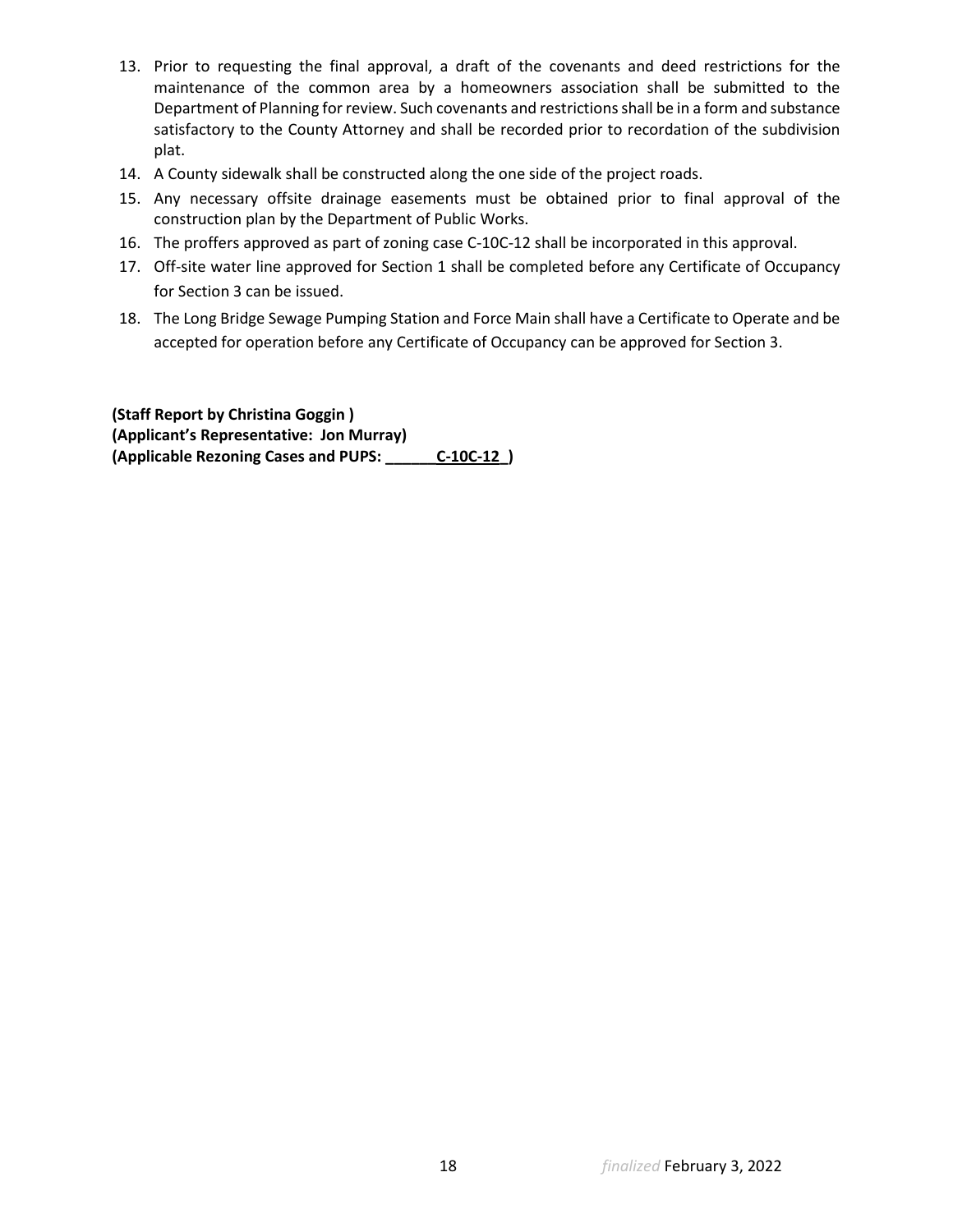- 13. Prior to requesting the final approval, a draft of the covenants and deed restrictions for the maintenance of the common area by a homeowners association shall be submitted to the Department of Planning for review. Such covenants and restrictions shall be in a form and substance satisfactory to the County Attorney and shall be recorded prior to recordation of the subdivision plat.
- 14. A County sidewalk shall be constructed along the one side of the project roads.
- 15. Any necessary offsite drainage easements must be obtained prior to final approval of the construction plan by the Department of Public Works.
- 16. The proffers approved as part of zoning case C-10C-12 shall be incorporated in this approval.
- 17. Off-site water line approved for Section 1 shall be completed before any Certificate of Occupancy for Section 3 can be issued.
- 18. The Long Bridge Sewage Pumping Station and Force Main shall have a Certificate to Operate and be accepted for operation before any Certificate of Occupancy can be approved for Section 3.

**(Staff Report by Christina Goggin ) (Applicant's Representative: Jon Murray) (Applicable Rezoning Cases and PUPS: \_\_\_\_\_\_C-10C-12\_)**